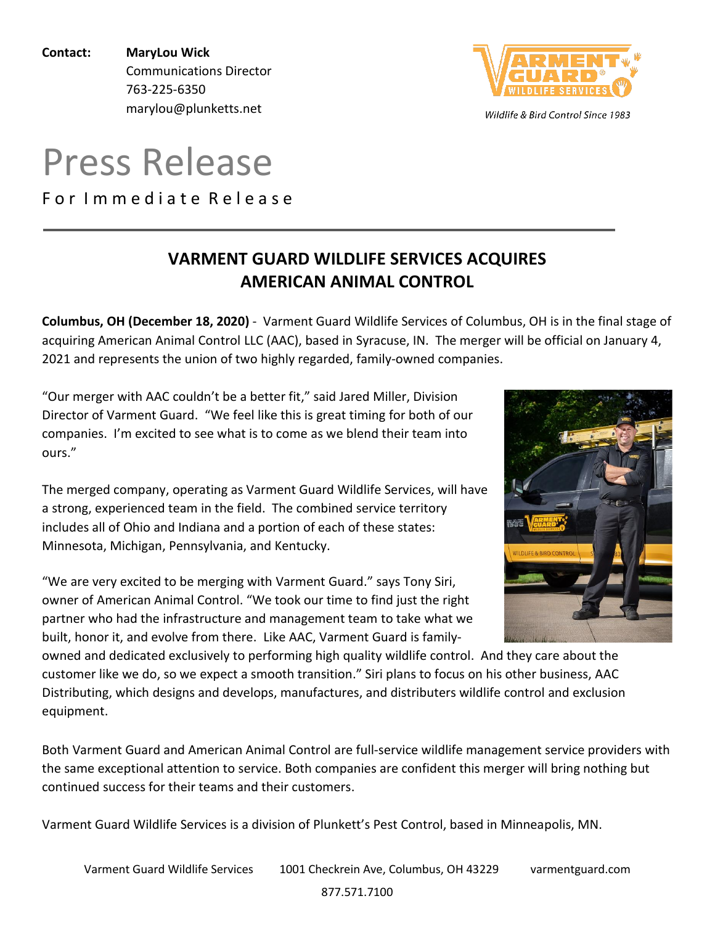**Contact: MaryLou Wick** Communications Director 763-225-6350 marylou@plunketts.net

# Press Release

For Immediate Release

## **VARMENT GUARD WILDLIFE SERVICES ACQUIRES AMERICAN ANIMAL CONTROL**

**Columbus, OH (December 18, 2020)** - Varment Guard Wildlife Services of Columbus, OH is in the final stage of acquiring American Animal Control LLC (AAC), based in Syracuse, IN. The merger will be official on January 4, 2021 and represents the union of two highly regarded, family-owned companies.

"Our merger with AAC couldn't be a better fit," said Jared Miller, Division Director of Varment Guard. "We feel like this is great timing for both of our companies. I'm excited to see what is to come as we blend their team into ours."

The merged company, operating as Varment Guard Wildlife Services, will have a strong, experienced team in the field. The combined service territory includes all of Ohio and Indiana and a portion of each of these states: Minnesota, Michigan, Pennsylvania, and Kentucky.

"We are very excited to be merging with Varment Guard." says Tony Siri, owner of American Animal Control. "We took our time to find just the right partner who had the infrastructure and management team to take what we built, honor it, and evolve from there. Like AAC, Varment Guard is family-

owned and dedicated exclusively to performing high quality wildlife control. And they care about the customer like we do, so we expect a smooth transition." Siri plans to focus on his other business, AAC Distributing, which designs and develops, manufactures, and distributers wildlife control and exclusion equipment.

Both Varment Guard and American Animal Control are full-service wildlife management service providers with the same exceptional attention to service. Both companies are confident this merger will bring nothing but continued success for their teams and their customers.

Varment Guard Wildlife Services is a division of Plunkett's Pest Control, based in Minneapolis, MN.



Wildlife & Bird Control Since 1983